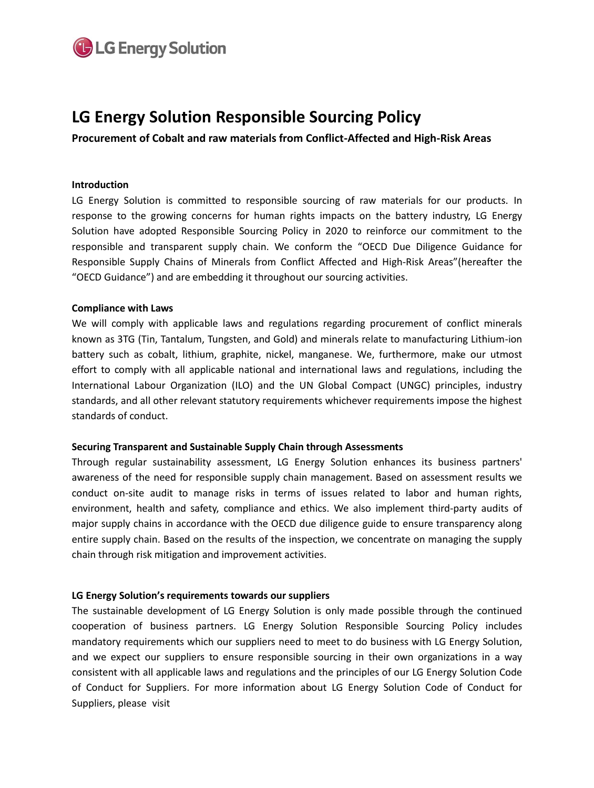

# **LG Energy Solution Responsible Sourcing Policy**

**Procurement of Cobalt and raw materials from Conflict-Affected and High-Risk Areas**

### **Introduction**

LG Energy Solution is committed to responsible sourcing of raw materials for our products. In response to the growing concerns for human rights impacts on the battery industry, LG Energy Solution have adopted Responsible Sourcing Policy in 2020 to reinforce our commitment to the responsible and transparent supply chain. We conform the "OECD Due Diligence Guidance for Responsible Supply Chains of Minerals from Conflict Affected and High-Risk Areas"(hereafter the "OECD Guidance") and are embedding it throughout our sourcing activities.

### **Compliance with Laws**

We will comply with applicable laws and regulations regarding procurement of conflict minerals known as 3TG (Tin, Tantalum, Tungsten, and Gold) and minerals relate to manufacturing Lithium-ion battery such as cobalt, lithium, graphite, nickel, manganese. We, furthermore, make our utmost effort to comply with all applicable national and international laws and regulations, including the International Labour Organization (ILO) and the UN Global Compact (UNGC) principles, industry standards, and all other relevant statutory requirements whichever requirements impose the highest standards of conduct.

### **Securing Transparent and Sustainable Supply Chain through Assessments**

Through regular sustainability assessment, LG Energy Solution enhances its business partners' awareness of the need for responsible supply chain management. Based on assessment results we conduct on-site audit to manage risks in terms of issues related to labor and human rights, environment, health and safety, compliance and ethics. We also implement third-party audits of major supply chains in accordance with the OECD due diligence guide to ensure transparency along entire supply chain. Based on the results of the inspection, we concentrate on managing the supply chain through risk mitigation and improvement activities.

### **LG Energy Solution's requirements towards our suppliers**

The sustainable development of LG Energy Solution is only made possible through the continued cooperation of business partners. LG Energy Solution Responsible Sourcing Policy includes mandatory requirements which our suppliers need to meet to do business with LG Energy Solution, and we expect our suppliers to ensure responsible sourcing in their own organizations in a way consistent with all applicable laws and regulations and the principles of our LG Energy Solution Code of Conduct for Suppliers. For more information about LG Energy Solution Code of Conduct for Suppliers, please visit